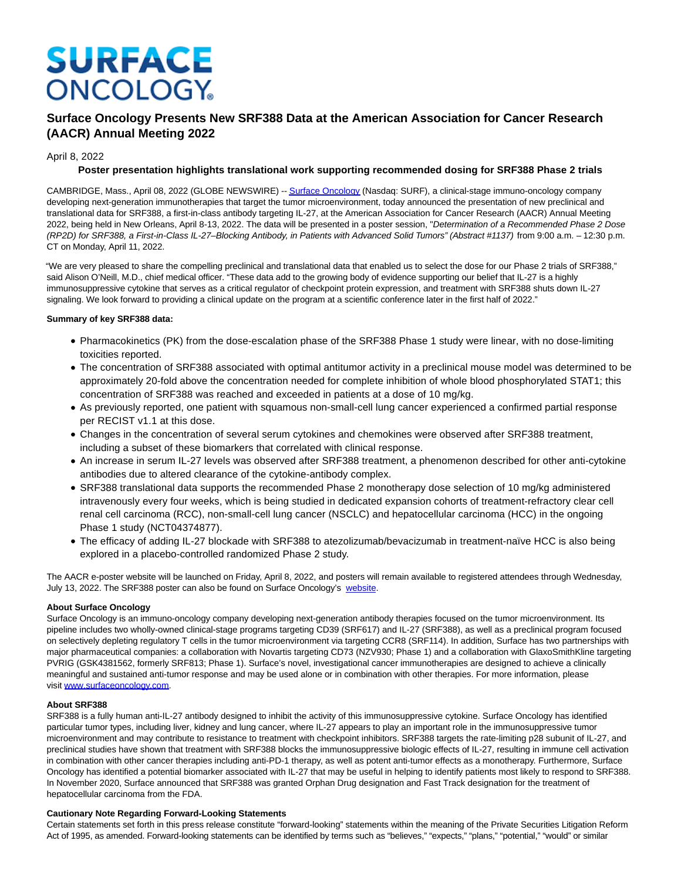# **SURFACE ONCOLOGY**

# **Surface Oncology Presents New SRF388 Data at the American Association for Cancer Research (AACR) Annual Meeting 2022**

## April 8, 2022

### **Poster presentation highlights translational work supporting recommended dosing for SRF388 Phase 2 trials**

CAMBRIDGE, Mass., April 08, 2022 (GLOBE NEWSWIRE) -[- Surface Oncology \(](https://www.globenewswire.com/Tracker?data=sUfT8j0HDLN0xmJELkvRsm7LmmeUld5E-fXMI8O5BXqIarKWA-ckQuePyNGFDewk2FEpljGVYjETSm9HmYGg0m_8yS4t_Kk97Wpearf-HZk=)Nasdaq: SURF), a clinical-stage immuno-oncology company developing next-generation immunotherapies that target the tumor microenvironment, today announced the presentation of new preclinical and translational data for SRF388, a first-in-class antibody targeting IL-27, at the American Association for Cancer Research (AACR) Annual Meeting 2022, being held in New Orleans, April 8-13, 2022. The data will be presented in a poster session, "Determination of a Recommended Phase 2 Dose (RP2D) for SRF388, a First-in-Class IL-27–Blocking Antibody, in Patients with Advanced Solid Tumors" (Abstract #1137) from 9:00 a.m. – 12:30 p.m. CT on Monday, April 11, 2022.

"We are very pleased to share the compelling preclinical and translational data that enabled us to select the dose for our Phase 2 trials of SRF388," said Alison O'Neill, M.D., chief medical officer. "These data add to the growing body of evidence supporting our belief that IL-27 is a highly immunosuppressive cytokine that serves as a critical regulator of checkpoint protein expression, and treatment with SRF388 shuts down IL-27 signaling. We look forward to providing a clinical update on the program at a scientific conference later in the first half of 2022."

### **Summary of key SRF388 data:**

- Pharmacokinetics (PK) from the dose-escalation phase of the SRF388 Phase 1 study were linear, with no dose-limiting toxicities reported.
- The concentration of SRF388 associated with optimal antitumor activity in a preclinical mouse model was determined to be approximately 20-fold above the concentration needed for complete inhibition of whole blood phosphorylated STAT1; this concentration of SRF388 was reached and exceeded in patients at a dose of 10 mg/kg.
- As previously reported, one patient with squamous non-small-cell lung cancer experienced a confirmed partial response per RECIST v1.1 at this dose.
- Changes in the concentration of several serum cytokines and chemokines were observed after SRF388 treatment, including a subset of these biomarkers that correlated with clinical response.
- An increase in serum IL-27 levels was observed after SRF388 treatment, a phenomenon described for other anti-cytokine antibodies due to altered clearance of the cytokine-antibody complex.
- SRF388 translational data supports the recommended Phase 2 monotherapy dose selection of 10 mg/kg administered intravenously every four weeks, which is being studied in dedicated expansion cohorts of treatment-refractory clear cell renal cell carcinoma (RCC), non-small-cell lung cancer (NSCLC) and hepatocellular carcinoma (HCC) in the ongoing Phase 1 study (NCT04374877).
- The efficacy of adding IL-27 blockade with SRF388 to atezolizumab/bevacizumab in treatment-naïve HCC is also being explored in a placebo-controlled randomized Phase 2 study.

The AACR e-poster website will be launched on Friday, April 8, 2022, and posters will remain available to registered attendees through Wednesday, July 13, 2022. The SRF388 poster can also be found on Surface Oncology's [website.](https://www.globenewswire.com/Tracker?data=vi-xbi--F-RzQpl_to7RmgCOabll-d0VxycNXqRChnJ6-p8dKu-7CP7DKreHLz7NTk_wuGa6cKgkMSq_oJEURZHM2OQG3EI670FPIC_8UAL8GJnQRiZ8cE9sIUWuOcTGr6vBAYVmk1_3KblV2ss9-Q==)

### **About Surface Oncology**

Surface Oncology is an immuno-oncology company developing next-generation antibody therapies focused on the tumor microenvironment. Its pipeline includes two wholly-owned clinical-stage programs targeting CD39 (SRF617) and IL-27 (SRF388), as well as a preclinical program focused on selectively depleting regulatory T cells in the tumor microenvironment via targeting CCR8 (SRF114). In addition, Surface has two partnerships with major pharmaceutical companies: a collaboration with Novartis targeting CD73 (NZV930; Phase 1) and a collaboration with GlaxoSmithKline targeting PVRIG (GSK4381562, formerly SRF813; Phase 1). Surface's novel, investigational cancer immunotherapies are designed to achieve a clinically meaningful and sustained anti-tumor response and may be used alone or in combination with other therapies. For more information, please visit [www.surfaceoncology.com.](https://www.globenewswire.com/Tracker?data=aKQXz-cXeZTSKQjqkqBsQPuvi_3bVanXDyBwDGiMVlSYK6rBwI5Zod-o3EgH5lpIhcnzBysr9NFA_b5-b8wA5fIDOkpZcsWwHNV6cBdYfeM=)

#### **About SRF388**

SRF388 is a fully human anti-IL-27 antibody designed to inhibit the activity of this immunosuppressive cytokine. Surface Oncology has identified particular tumor types, including liver, kidney and lung cancer, where IL-27 appears to play an important role in the immunosuppressive tumor microenvironment and may contribute to resistance to treatment with checkpoint inhibitors. SRF388 targets the rate-limiting p28 subunit of IL-27, and preclinical studies have shown that treatment with SRF388 blocks the immunosuppressive biologic effects of IL-27, resulting in immune cell activation in combination with other cancer therapies including anti-PD-1 therapy, as well as potent anti-tumor effects as a monotherapy. Furthermore, Surface Oncology has identified a potential biomarker associated with IL-27 that may be useful in helping to identify patients most likely to respond to SRF388. In November 2020, Surface announced that SRF388 was granted Orphan Drug designation and Fast Track designation for the treatment of hepatocellular carcinoma from the FDA.

#### **Cautionary Note Regarding Forward-Looking Statements**

Certain statements set forth in this press release constitute "forward-looking" statements within the meaning of the Private Securities Litigation Reform Act of 1995, as amended. Forward-looking statements can be identified by terms such as "believes," "expects," "plans," "potential," "would" or similar